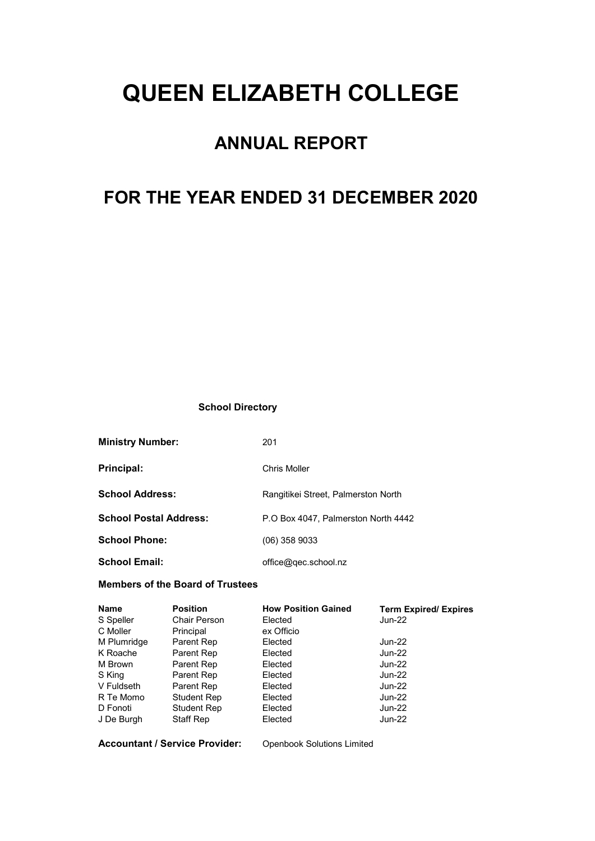# QUEEN ELIZABETH COLLEGE

## ANNUAL REPORT

## FOR THE YEAR ENDED 31 DECEMBER 2020

#### School Directory

| <b>Ministry Number:</b>       | 201                                 |
|-------------------------------|-------------------------------------|
| Principal:                    | Chris Moller                        |
| <b>School Address:</b>        | Rangitikei Street, Palmerston North |
| <b>School Postal Address:</b> | P.O Box 4047. Palmerston North 4442 |
| <b>School Phone:</b>          | $(06)$ 358 9033                     |
| <b>School Email:</b>          | office@gec.school.nz                |

#### Members of the Board of Trustees

| <b>Position</b>    | <b>How Position Gained</b> | <b>Term Expired/ Expires</b> |
|--------------------|----------------------------|------------------------------|
| Chair Person       | Elected                    | Jun-22                       |
| Principal          | ex Officio                 |                              |
| Parent Rep         | Elected                    | Jun-22                       |
| Parent Rep         | Elected                    | <b>Jun-22</b>                |
| Parent Rep         | Elected                    | Jun-22                       |
| Parent Rep         | Elected                    | <b>Jun-22</b>                |
| Parent Rep         | Elected                    | Jun-22                       |
| <b>Student Rep</b> | Elected                    | Jun-22                       |
| Student Rep        | Elected                    | Jun-22                       |
| <b>Staff Rep</b>   | Elected                    | Jun-22                       |
|                    |                            |                              |

Accountant / Service Provider: Openbook Solutions Limited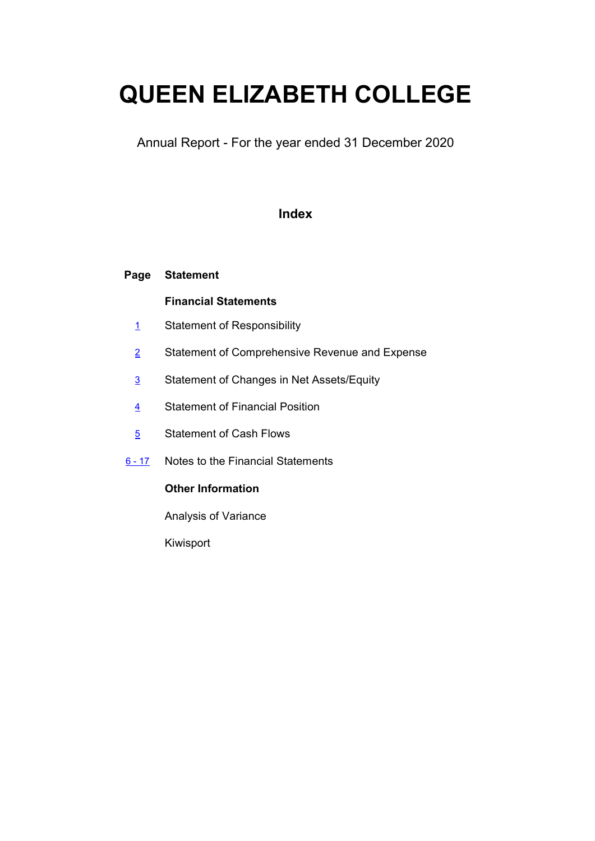# QUEEN ELIZABETH COLLEGE

Annual Report - For the year ended 31 December 2020

### Index

#### Page Statement

### Financial Statements

- 1 Statement of Responsibility
- 2 Statement of Comprehensive Revenue and Expense
- 3 Statement of Changes in Net Assets/Equity
- 4 Statement of Financial Position
- 5 Statement of Cash Flows
- 6 17 Notes to the Financial Statements

### Other Information

Analysis of Variance

Kiwisport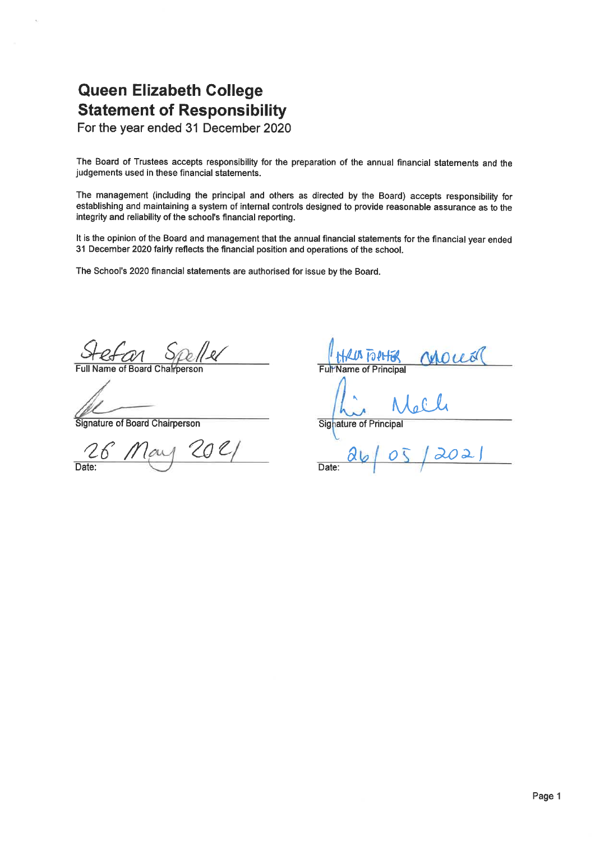### **Queen Elizabeth College Statement of Responsibility**

For the year ended 31 December 2020

The Board of Trustees accepts responsibility for the preparation of the annual financial statements and the judgements used in these financial statements.

The management (including the principal and others as directed by the Board) accepts responsibility for establishing and maintaining a system of internal controls designed to provide reasonable assurance as to the integrity and reliability of the school's financial reporting.

It is the opinion of the Board and management that the annual financial statements for the financial year ended 31 December 2020 fairly reflects the financial position and operations of the school.

The School's 2020 financial statements are authorised for issue by the Board.

efan Speller

Full Name of Board Charperson

Signature of Board Chairperson

KLUS TO PLIER **Vame of Principal** Signature of Principal

 $\mathcal{O}$  2 Date: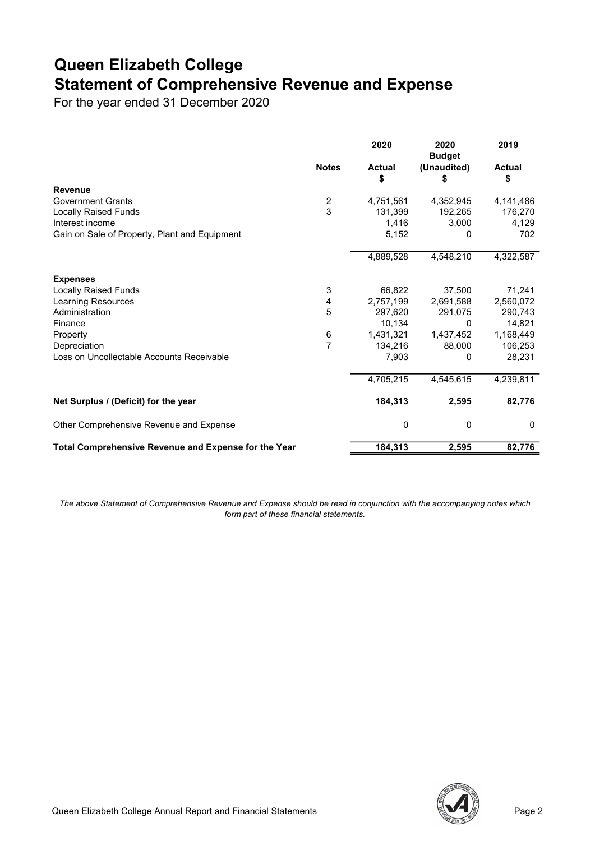## Queen Elizabeth College Statement of Comprehensive Revenue and Expense

For the year ended 31 December 2020

|                                                      |                  | 2020                | 2020<br><b>Budget</b> | 2019                |
|------------------------------------------------------|------------------|---------------------|-----------------------|---------------------|
|                                                      | <b>Notes</b>     | <b>Actual</b><br>\$ | (Unaudited)<br>\$     | <b>Actual</b><br>\$ |
| <b>Revenue</b>                                       |                  |                     |                       |                     |
| <b>Government Grants</b>                             | $\boldsymbol{2}$ | 4,751,561           | 4,352,945             | 4,141,486           |
| <b>Locally Raised Funds</b>                          | 3                | 131,399             | 192,265               | 176,270             |
| Interest income                                      |                  | 1,416               | 3,000                 | 4,129               |
| Gain on Sale of Property, Plant and Equipment        |                  | 5,152               | 0                     | 702                 |
|                                                      |                  | 4,889,528           | 4,548,210             | 4,322,587           |
| <b>Expenses</b>                                      |                  |                     |                       |                     |
| <b>Locally Raised Funds</b>                          | 3                | 66,822              | 37,500                | 71,241              |
| Learning Resources                                   | 4                | 2,757,199           | 2,691,588             | 2,560,072           |
| Administration                                       | 5                | 297.620             | 291,075               | 290,743             |
| Finance                                              |                  | 10,134              | 0                     | 14,821              |
| Property                                             | $\,6$            | 1,431,321           | 1,437,452             | 1,168,449           |
| Depreciation                                         | 7                | 134,216             | 88,000                | 106,253             |
| Loss on Uncollectable Accounts Receivable            |                  | 7,903               | 0                     | 28,231              |
|                                                      |                  | 4,705,215           | 4,545,615             | 4,239,811           |
| Net Surplus / (Deficit) for the year                 |                  | 184,313             | 2,595                 | 82,776              |
| Other Comprehensive Revenue and Expense              |                  | 0                   | $\mathbf 0$           | 0                   |
| Total Comprehensive Revenue and Expense for the Year |                  | 184,313             | 2,595                 | 82,776              |

The above Statement of Comprehensive Revenue and Expense should be read in conjunction with the accompanying notes which form part of these financial statements.

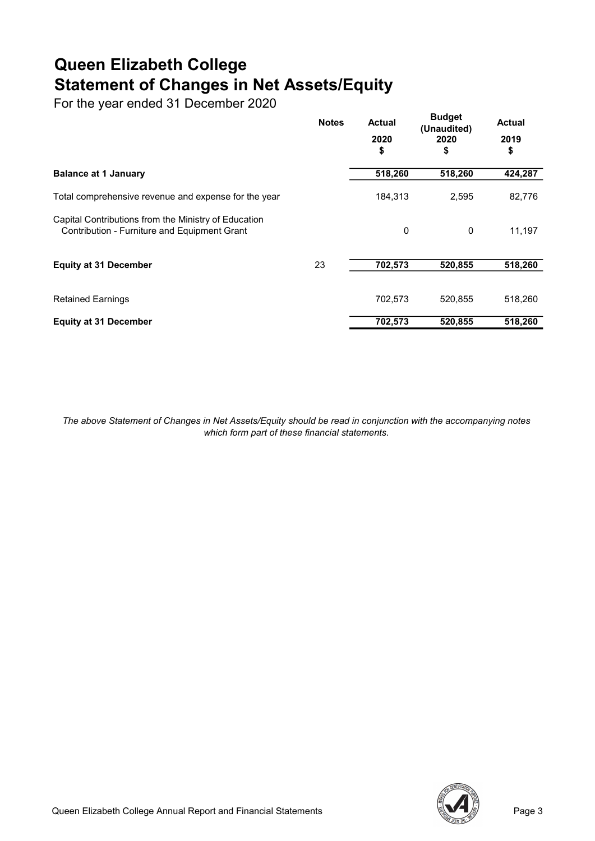## Queen Elizabeth College Statement of Changes in Net Assets/Equity

For the year ended 31 December 2020

|                                                                                                      | <b>Notes</b> | <b>Actual</b><br>2020<br>\$ | <b>Budget</b><br>(Unaudited)<br>2020<br>\$ | <b>Actual</b><br>2019<br>\$ |
|------------------------------------------------------------------------------------------------------|--------------|-----------------------------|--------------------------------------------|-----------------------------|
| <b>Balance at 1 January</b>                                                                          |              | 518,260                     | 518,260                                    | 424,287                     |
| Total comprehensive revenue and expense for the year                                                 |              | 184,313                     | 2,595                                      | 82,776                      |
| Capital Contributions from the Ministry of Education<br>Contribution - Furniture and Equipment Grant |              | $\Omega$                    | 0                                          | 11,197                      |
| <b>Equity at 31 December</b>                                                                         | 23           | 702,573                     | 520,855                                    | 518,260                     |
| <b>Retained Earnings</b>                                                                             |              | 702,573                     | 520,855                                    | 518,260                     |
| <b>Equity at 31 December</b>                                                                         |              | 702,573                     | 520,855                                    | 518,260                     |

The above Statement of Changes in Net Assets/Equity should be read in conjunction with the accompanying notes which form part of these financial statements.

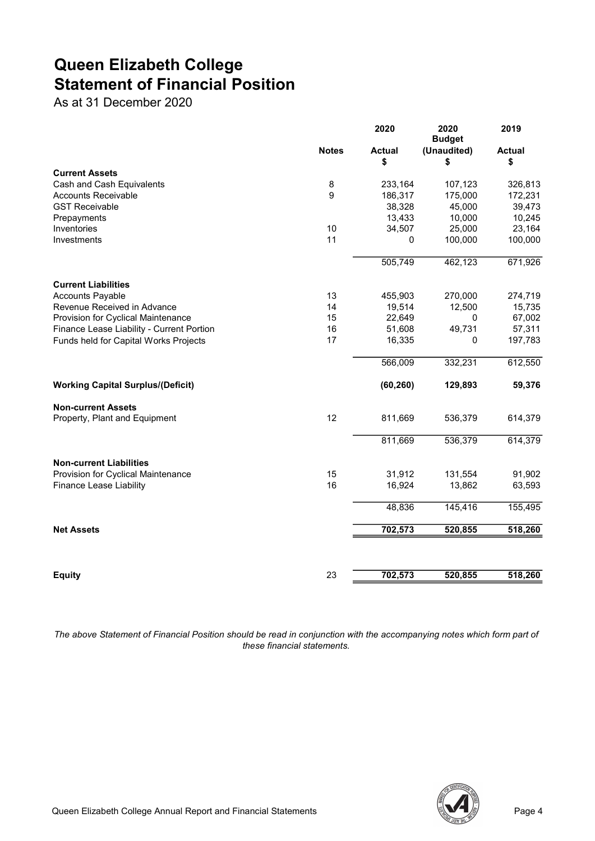## Queen Elizabeth College Statement of Financial Position

As at 31 December 2020

|                                                         |              | 2020               | 2020<br><b>Budget</b> | 2019               |
|---------------------------------------------------------|--------------|--------------------|-----------------------|--------------------|
|                                                         | <b>Notes</b> | <b>Actual</b>      | (Unaudited)           | <b>Actual</b>      |
|                                                         |              | \$                 | \$                    | \$                 |
| <b>Current Assets</b>                                   |              |                    |                       |                    |
| Cash and Cash Equivalents<br><b>Accounts Receivable</b> | 8<br>9       | 233,164<br>186,317 | 107,123<br>175,000    | 326,813<br>172,231 |
| <b>GST Receivable</b>                                   |              | 38,328             | 45,000                | 39,473             |
| Prepayments                                             |              | 13,433             | 10,000                | 10,245             |
| Inventories                                             | 10           | 34,507             | 25,000                | 23,164             |
| Investments                                             | 11           | 0                  | 100,000               | 100,000            |
|                                                         |              |                    |                       |                    |
|                                                         |              | 505,749            | 462,123               | 671,926            |
| <b>Current Liabilities</b>                              |              |                    |                       |                    |
| <b>Accounts Payable</b>                                 | 13           | 455,903            | 270,000               | 274,719            |
| Revenue Received in Advance                             | 14           | 19,514             | 12,500                | 15,735             |
| Provision for Cyclical Maintenance                      | 15           | 22,649             | 0                     | 67,002             |
| Finance Lease Liability - Current Portion               | 16           | 51,608             | 49,731                | 57,311             |
| Funds held for Capital Works Projects                   | 17           | 16,335             | 0                     | 197,783            |
|                                                         |              | 566,009            | 332,231               | 612,550            |
| <b>Working Capital Surplus/(Deficit)</b>                |              | (60, 260)          | 129,893               | 59,376             |
| <b>Non-current Assets</b>                               |              |                    |                       |                    |
| Property, Plant and Equipment                           | 12           | 811,669            | 536,379               | 614,379            |
|                                                         |              | 811,669            | 536,379               | 614,379            |
| <b>Non-current Liabilities</b>                          |              |                    |                       |                    |
| Provision for Cyclical Maintenance                      | 15           | 31,912             | 131,554               | 91,902             |
| <b>Finance Lease Liability</b>                          | 16           | 16,924             | 13,862                | 63,593             |
|                                                         |              | 48,836             | 145,416               | 155,495            |
| <b>Net Assets</b>                                       |              | 702,573            | 520,855               | 518,260            |
|                                                         |              |                    |                       |                    |
| <b>Equity</b>                                           | 23           | 702,573            | 520,855               | 518,260            |
|                                                         |              |                    |                       |                    |

The above Statement of Financial Position should be read in conjunction with the accompanying notes which form part of these financial statements.

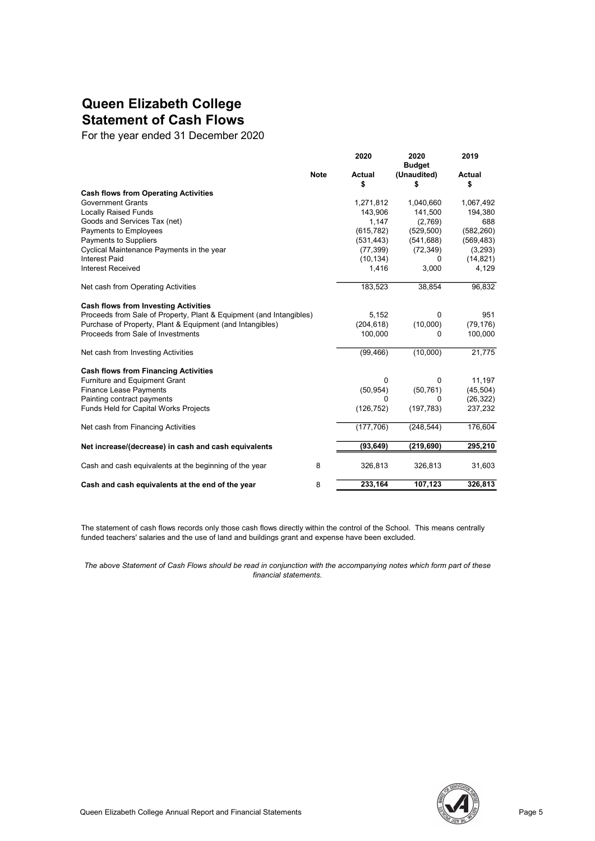### Queen Elizabeth College Statement of Cash Flows

For the year ended 31 December 2020

|                                                                     |             | 2020                | 2020<br><b>Budget</b> | 2019         |
|---------------------------------------------------------------------|-------------|---------------------|-----------------------|--------------|
|                                                                     | <b>Note</b> | <b>Actual</b><br>\$ | (Unaudited)<br>\$     | Actual<br>\$ |
| <b>Cash flows from Operating Activities</b>                         |             |                     |                       |              |
| <b>Government Grants</b>                                            |             | 1,271,812           | 1,040,660             | 1,067,492    |
| <b>Locally Raised Funds</b>                                         |             | 143,906             | 141,500               | 194,380      |
| Goods and Services Tax (net)                                        |             | 1,147               | (2,769)               | 688          |
| Payments to Employees                                               |             | (615, 782)          | (529, 500)            | (582, 260)   |
| Payments to Suppliers                                               |             | (531, 443)          | (541, 688)            | (569, 483)   |
| Cyclical Maintenance Payments in the year                           |             | (77, 399)           | (72, 349)             | (3,293)      |
| <b>Interest Paid</b>                                                |             | (10, 134)           | 0                     | (14, 821)    |
| <b>Interest Received</b>                                            |             | 1,416               | 3,000                 | 4,129        |
| Net cash from Operating Activities                                  |             | 183,523             | 38,854                | 96,832       |
| <b>Cash flows from Investing Activities</b>                         |             |                     |                       |              |
| Proceeds from Sale of Property, Plant & Equipment (and Intangibles) |             | 5,152               | 0                     | 951          |
| Purchase of Property, Plant & Equipment (and Intangibles)           |             | (204, 618)          | (10,000)              | (79, 176)    |
| Proceeds from Sale of Investments                                   |             | 100,000             | 0                     | 100,000      |
| Net cash from Investing Activities                                  |             | (99, 466)           | (10,000)              | 21,775       |
| <b>Cash flows from Financing Activities</b>                         |             |                     |                       |              |
| Furniture and Equipment Grant                                       |             | 0                   | 0                     | 11,197       |
| <b>Finance Lease Payments</b>                                       |             | (50, 954)           | (50, 761)             | (45, 504)    |
| Painting contract payments                                          |             | 0                   | O                     | (26, 322)    |
| Funds Held for Capital Works Projects                               |             | (126, 752)          | (197, 783)            | 237,232      |
| Net cash from Financing Activities                                  |             | (177, 706)          | (248, 544)            | 176,604      |
| Net increase/(decrease) in cash and cash equivalents                |             | (93, 649)           | (219, 690)            | 295,210      |
| Cash and cash equivalents at the beginning of the year              | 8           | 326,813             | 326,813               | 31,603       |
| Cash and cash equivalents at the end of the year                    | 8           | 233,164             | 107,123               | 326,813      |

The statement of cash flows records only those cash flows directly within the control of the School. This means centrally funded teachers' salaries and the use of land and buildings grant and expense have been excluded.

The above Statement of Cash Flows should be read in conjunction with the accompanying notes which form part of these financial statements.

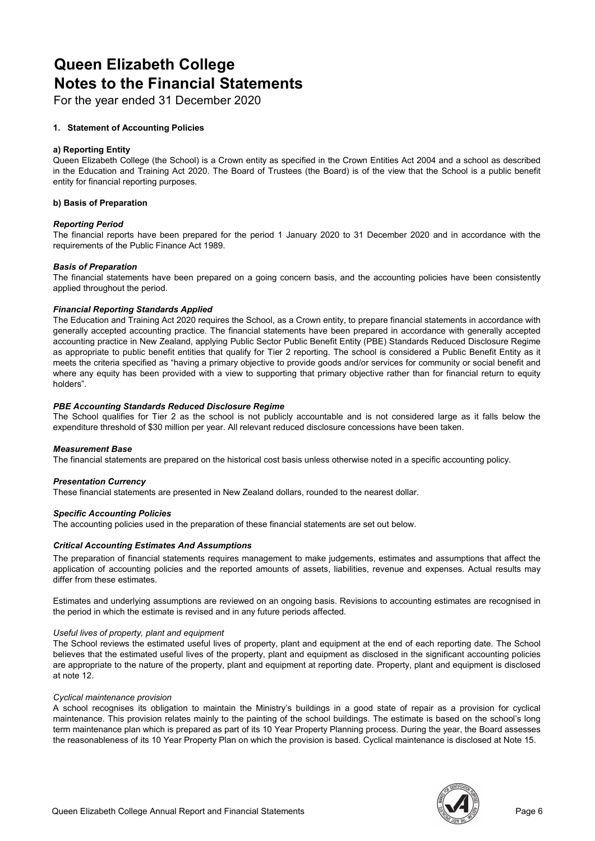### Queen Elizabeth College Notes to the Financial Statements

For the year ended 31 December 2020

#### 1. Statement of Accounting Policies

#### a) Reporting Entity

Queen Elizabeth College (the School) is a Crown entity as specified in the Crown Entities Act 2004 and a school as described in the Education and Training Act 2020. The Board of Trustees (the Board) is of the view that the School is a public benefit entity for financial reporting purposes.

#### b) Basis of Preparation

#### Reporting Period

The financial reports have been prepared for the period 1 January 2020 to 31 December 2020 and in accordance with the requirements of the Public Finance Act 1989.

#### Basis of Preparation

The financial statements have been prepared on a going concern basis, and the accounting policies have been consistently applied throughout the period.

#### Financial Reporting Standards Applied

The Education and Training Act 2020 requires the School, as a Crown entity, to prepare financial statements in accordance with generally accepted accounting practice. The financial statements have been prepared in accordance with generally accepted accounting practice in New Zealand, applying Public Sector Public Benefit Entity (PBE) Standards Reduced Disclosure Regime as appropriate to public benefit entities that qualify for Tier 2 reporting. The school is considered a Public Benefit Entity as it meets the criteria specified as "having a primary objective to provide goods and/or services for community or social benefit and where any equity has been provided with a view to supporting that primary objective rather than for financial return to equity holders".

#### PBE Accounting Standards Reduced Disclosure Regime

The School qualifies for Tier 2 as the school is not publicly accountable and is not considered large as it falls below the expenditure threshold of \$30 million per year. All relevant reduced disclosure concessions have been taken.

#### Measurement Base

The financial statements are prepared on the historical cost basis unless otherwise noted in a specific accounting policy.

#### Presentation Currency

These financial statements are presented in New Zealand dollars, rounded to the nearest dollar.

#### Specific Accounting Policies

The accounting policies used in the preparation of these financial statements are set out below.

#### Critical Accounting Estimates And Assumptions

The preparation of financial statements requires management to make judgements, estimates and assumptions that affect the application of accounting policies and the reported amounts of assets, liabilities, revenue and expenses. Actual results may differ from these estimates.

Estimates and underlying assumptions are reviewed on an ongoing basis. Revisions to accounting estimates are recognised in the period in which the estimate is revised and in any future periods affected.

#### Useful lives of property, plant and equipment

The School reviews the estimated useful lives of property, plant and equipment at the end of each reporting date. The School believes that the estimated useful lives of the property, plant and equipment as disclosed in the significant accounting policies are appropriate to the nature of the property, plant and equipment at reporting date. Property, plant and equipment is disclosed at note 12.

#### Cyclical maintenance provision

A school recognises its obligation to maintain the Ministry's buildings in a good state of repair as a provision for cyclical maintenance. This provision relates mainly to the painting of the school buildings. The estimate is based on the school's long term maintenance plan which is prepared as part of its 10 Year Property Planning process. During the year, the Board assesses the reasonableness of its 10 Year Property Plan on which the provision is based. Cyclical maintenance is disclosed at Note 15.

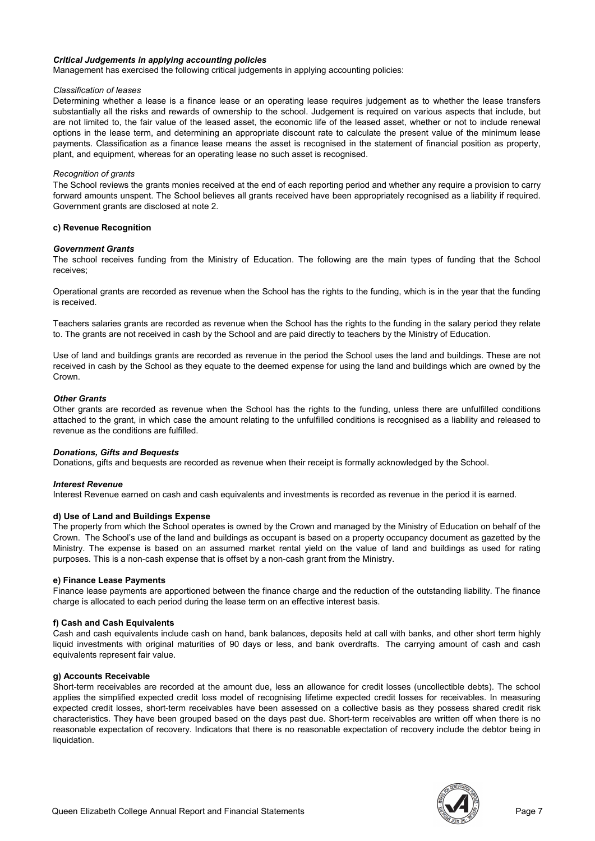#### Critical Judgements in applying accounting policies

Management has exercised the following critical judgements in applying accounting policies:

#### Classification of leases

Determining whether a lease is a finance lease or an operating lease requires judgement as to whether the lease transfers substantially all the risks and rewards of ownership to the school. Judgement is required on various aspects that include, but are not limited to, the fair value of the leased asset, the economic life of the leased asset, whether or not to include renewal options in the lease term, and determining an appropriate discount rate to calculate the present value of the minimum lease payments. Classification as a finance lease means the asset is recognised in the statement of financial position as property, plant, and equipment, whereas for an operating lease no such asset is recognised.

#### Recognition of grants

The School reviews the grants monies received at the end of each reporting period and whether any require a provision to carry forward amounts unspent. The School believes all grants received have been appropriately recognised as a liability if required. Government grants are disclosed at note 2.

#### c) Revenue Recognition

#### Government Grants

The school receives funding from the Ministry of Education. The following are the main types of funding that the School receives;

Operational grants are recorded as revenue when the School has the rights to the funding, which is in the year that the funding is received.

Teachers salaries grants are recorded as revenue when the School has the rights to the funding in the salary period they relate to. The grants are not received in cash by the School and are paid directly to teachers by the Ministry of Education.

Use of land and buildings grants are recorded as revenue in the period the School uses the land and buildings. These are not received in cash by the School as they equate to the deemed expense for using the land and buildings which are owned by the Crown.

#### Other Grants

Other grants are recorded as revenue when the School has the rights to the funding, unless there are unfulfilled conditions attached to the grant, in which case the amount relating to the unfulfilled conditions is recognised as a liability and released to revenue as the conditions are fulfilled.

#### Donations, Gifts and Bequests

Donations, gifts and bequests are recorded as revenue when their receipt is formally acknowledged by the School.

#### Interest Revenue

Interest Revenue earned on cash and cash equivalents and investments is recorded as revenue in the period it is earned.

#### d) Use of Land and Buildings Expense

The property from which the School operates is owned by the Crown and managed by the Ministry of Education on behalf of the Crown. The School's use of the land and buildings as occupant is based on a property occupancy document as gazetted by the Ministry. The expense is based on an assumed market rental yield on the value of land and buildings as used for rating purposes. This is a non-cash expense that is offset by a non-cash grant from the Ministry.

#### e) Finance Lease Payments

Finance lease payments are apportioned between the finance charge and the reduction of the outstanding liability. The finance charge is allocated to each period during the lease term on an effective interest basis.

#### f) Cash and Cash Equivalents

Cash and cash equivalents include cash on hand, bank balances, deposits held at call with banks, and other short term highly liquid investments with original maturities of 90 days or less, and bank overdrafts. The carrying amount of cash and cash equivalents represent fair value.

#### g) Accounts Receivable

Short-term receivables are recorded at the amount due, less an allowance for credit losses (uncollectible debts). The school applies the simplified expected credit loss model of recognising lifetime expected credit losses for receivables. In measuring expected credit losses, short-term receivables have been assessed on a collective basis as they possess shared credit risk characteristics. They have been grouped based on the days past due. Short-term receivables are written off when there is no reasonable expectation of recovery. Indicators that there is no reasonable expectation of recovery include the debtor being in liquidation.

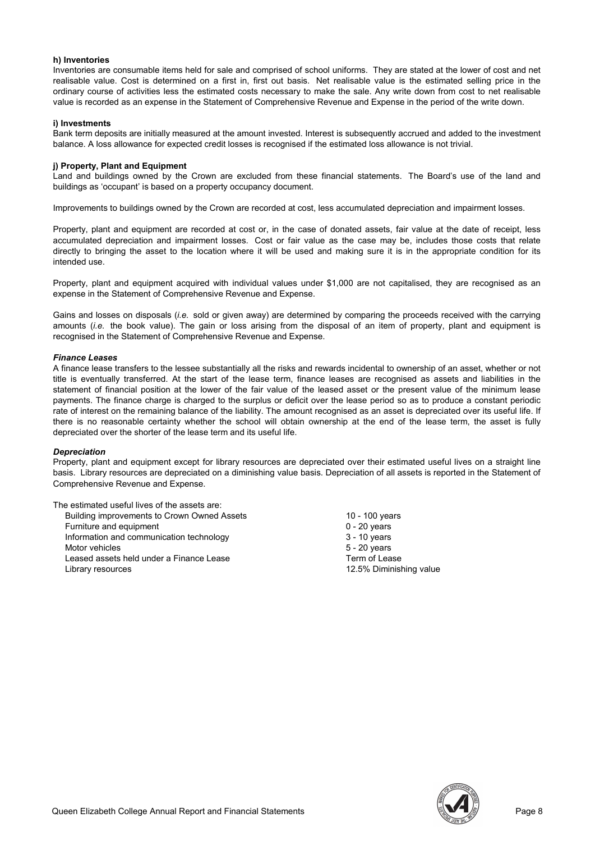#### h) Inventories

Inventories are consumable items held for sale and comprised of school uniforms. They are stated at the lower of cost and net realisable value. Cost is determined on a first in, first out basis. Net realisable value is the estimated selling price in the ordinary course of activities less the estimated costs necessary to make the sale. Any write down from cost to net realisable value is recorded as an expense in the Statement of Comprehensive Revenue and Expense in the period of the write down.

#### i) Investments

Bank term deposits are initially measured at the amount invested. Interest is subsequently accrued and added to the investment balance. A loss allowance for expected credit losses is recognised if the estimated loss allowance is not trivial.

#### j) Property, Plant and Equipment

Land and buildings owned by the Crown are excluded from these financial statements. The Board's use of the land and buildings as 'occupant' is based on a property occupancy document.

Improvements to buildings owned by the Crown are recorded at cost, less accumulated depreciation and impairment losses.

Property, plant and equipment are recorded at cost or, in the case of donated assets, fair value at the date of receipt, less accumulated depreciation and impairment losses. Cost or fair value as the case may be, includes those costs that relate directly to bringing the asset to the location where it will be used and making sure it is in the appropriate condition for its intended use.

Property, plant and equipment acquired with individual values under \$1,000 are not capitalised, they are recognised as an expense in the Statement of Comprehensive Revenue and Expense.

Gains and losses on disposals (i.e. sold or given away) are determined by comparing the proceeds received with the carrying amounts (i.e. the book value). The gain or loss arising from the disposal of an item of property, plant and equipment is recognised in the Statement of Comprehensive Revenue and Expense.

#### Finance Leases

A finance lease transfers to the lessee substantially all the risks and rewards incidental to ownership of an asset, whether or not title is eventually transferred. At the start of the lease term, finance leases are recognised as assets and liabilities in the statement of financial position at the lower of the fair value of the leased asset or the present value of the minimum lease payments. The finance charge is charged to the surplus or deficit over the lease period so as to produce a constant periodic rate of interest on the remaining balance of the liability. The amount recognised as an asset is depreciated over its useful life. If there is no reasonable certainty whether the school will obtain ownership at the end of the lease term, the asset is fully depreciated over the shorter of the lease term and its useful life.

#### **Depreciation**

Property, plant and equipment except for library resources are depreciated over their estimated useful lives on a straight line basis. Library resources are depreciated on a diminishing value basis. Depreciation of all assets is reported in the Statement of Comprehensive Revenue and Expense.

The estimated useful lives of the assets are: Building improvements to Crown Owned Assets 10 - 100 years 10 - 100 years Furniture and equipment  $0 - 20$  years<br>
Information and communication technology  $3 - 10$  years Information and communication technology Motor vehicles 5 - 20 years Leased assets held under a Finance Lease Term of Lease Term of Lease Library resources 12.5% Diminishing value

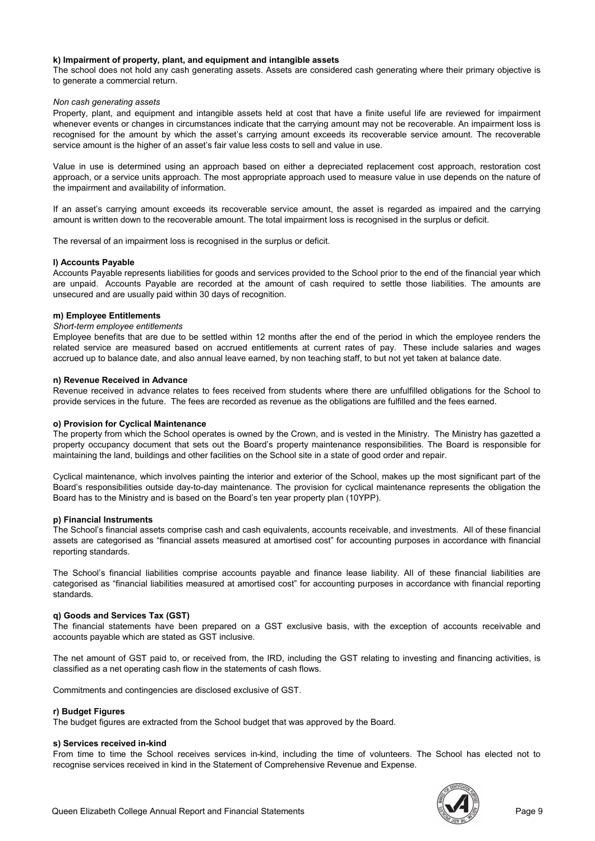#### k) Impairment of property, plant, and equipment and intangible assets

The school does not hold any cash generating assets. Assets are considered cash generating where their primary objective is to generate a commercial return.

#### Non cash generating assets

Property, plant, and equipment and intangible assets held at cost that have a finite useful life are reviewed for impairment whenever events or changes in circumstances indicate that the carrying amount may not be recoverable. An impairment loss is recognised for the amount by which the asset's carrying amount exceeds its recoverable service amount. The recoverable service amount is the higher of an asset's fair value less costs to sell and value in use.

Value in use is determined using an approach based on either a depreciated replacement cost approach, restoration cost approach, or a service units approach. The most appropriate approach used to measure value in use depends on the nature of the impairment and availability of information.

If an asset's carrying amount exceeds its recoverable service amount, the asset is regarded as impaired and the carrying amount is written down to the recoverable amount. The total impairment loss is recognised in the surplus or deficit.

The reversal of an impairment loss is recognised in the surplus or deficit.

#### l) Accounts Payable

Accounts Payable represents liabilities for goods and services provided to the School prior to the end of the financial year which are unpaid. Accounts Payable are recorded at the amount of cash required to settle those liabilities. The amounts are unsecured and are usually paid within 30 days of recognition.

#### m) Employee Entitlements

#### Short-term employee entitlements

Employee benefits that are due to be settled within 12 months after the end of the period in which the employee renders the related service are measured based on accrued entitlements at current rates of pay. These include salaries and wages accrued up to balance date, and also annual leave earned, by non teaching staff, to but not yet taken at balance date.

#### n) Revenue Received in Advance

Revenue received in advance relates to fees received from students where there are unfulfilled obligations for the School to provide services in the future. The fees are recorded as revenue as the obligations are fulfilled and the fees earned.

#### o) Provision for Cyclical Maintenance

The property from which the School operates is owned by the Crown, and is vested in the Ministry. The Ministry has gazetted a property occupancy document that sets out the Board's property maintenance responsibilities. The Board is responsible for maintaining the land, buildings and other facilities on the School site in a state of good order and repair.

Cyclical maintenance, which involves painting the interior and exterior of the School, makes up the most significant part of the Board's responsibilities outside day-to-day maintenance. The provision for cyclical maintenance represents the obligation the Board has to the Ministry and is based on the Board's ten year property plan (10YPP).

#### p) Financial Instruments

The School's financial assets comprise cash and cash equivalents, accounts receivable, and investments. All of these financial assets are categorised as "financial assets measured at amortised cost" for accounting purposes in accordance with financial reporting standards.

The School's financial liabilities comprise accounts payable and finance lease liability. All of these financial liabilities are categorised as "financial liabilities measured at amortised cost" for accounting purposes in accordance with financial reporting standards.

#### q) Goods and Services Tax (GST)

The financial statements have been prepared on a GST exclusive basis, with the exception of accounts receivable and accounts payable which are stated as GST inclusive.

The net amount of GST paid to, or received from, the IRD, including the GST relating to investing and financing activities, is classified as a net operating cash flow in the statements of cash flows.

Commitments and contingencies are disclosed exclusive of GST.

#### r) Budget Figures

The budget figures are extracted from the School budget that was approved by the Board.

#### s) Services received in-kind

From time to time the School receives services in-kind, including the time of volunteers. The School has elected not to recognise services received in kind in the Statement of Comprehensive Revenue and Expense.

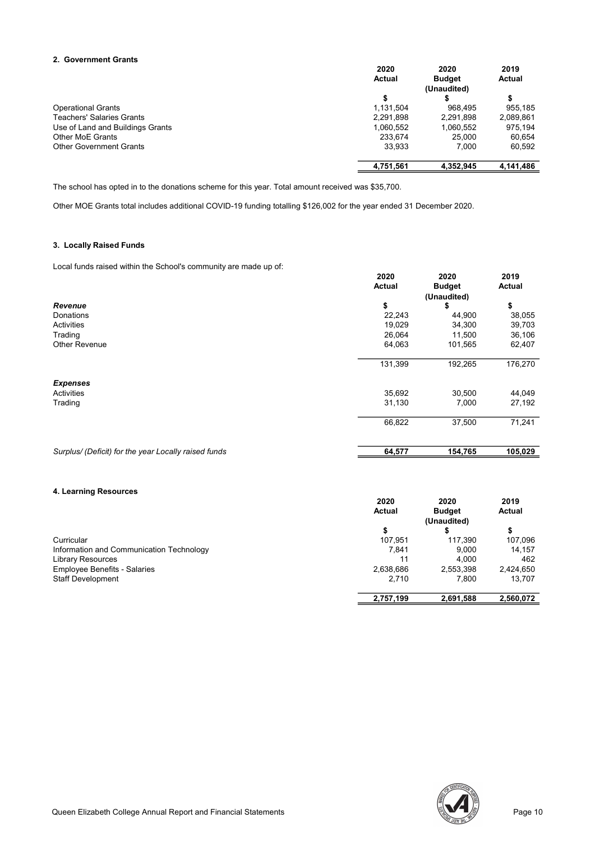#### 2. Government Grants

|                                  | 2020          | 2020          | 2019      |
|----------------------------------|---------------|---------------|-----------|
|                                  | <b>Actual</b> | <b>Budget</b> | Actual    |
|                                  |               | (Unaudited)   |           |
|                                  | \$            |               |           |
| <b>Operational Grants</b>        | 1,131,504     | 968.495       | 955.185   |
| <b>Teachers' Salaries Grants</b> | 2,291,898     | 2,291,898     | 2,089,861 |
| Use of Land and Buildings Grants | 1,060,552     | 1,060,552     | 975,194   |
| Other MoE Grants                 | 233.674       | 25.000        | 60.654    |
| <b>Other Government Grants</b>   | 33.933        | 7.000         | 60.592    |
|                                  | 4,751,561     | 4.352.945     | 4,141,486 |

The school has opted in to the donations scheme for this year. Total amount received was \$35,700.

Other MOE Grants total includes additional COVID-19 funding totalling \$126,002 for the year ended 31 December 2020.

#### 3. Locally Raised Funds

Local funds raised within the School's community are made up of:

|                                                      | 2020    | 2020          | 2019    |
|------------------------------------------------------|---------|---------------|---------|
|                                                      | Actual  | <b>Budget</b> | Actual  |
|                                                      |         | (Unaudited)   |         |
| Revenue                                              | \$      | \$            | \$      |
| Donations                                            | 22,243  | 44,900        | 38,055  |
| Activities                                           | 19,029  | 34,300        | 39,703  |
| Trading                                              | 26,064  | 11,500        | 36,106  |
| Other Revenue                                        | 64,063  | 101,565       | 62,407  |
|                                                      | 131,399 | 192,265       | 176,270 |
| <b>Expenses</b>                                      |         |               |         |
| Activities                                           | 35,692  | 30,500        | 44,049  |
| Trading                                              | 31,130  | 7,000         | 27,192  |
|                                                      | 66,822  | 37,500        | 71,241  |
| Surplus/ (Deficit) for the year Locally raised funds | 64,577  | 154,765       | 105,029 |

#### 4. Learning Resources

|                                          | 2020      | 2020          | 2019      |
|------------------------------------------|-----------|---------------|-----------|
|                                          | Actual    | <b>Budget</b> | Actual    |
|                                          |           | (Unaudited)   |           |
|                                          |           |               | \$        |
| Curricular                               | 107.951   | 117.390       | 107,096   |
| Information and Communication Technology | 7.841     | 9.000         | 14.157    |
| <b>Library Resources</b>                 | 11        | 4.000         | 462       |
| <b>Employee Benefits - Salaries</b>      | 2,638,686 | 2,553,398     | 2,424,650 |
| <b>Staff Development</b>                 | 2,710     | 7.800         | 13.707    |
|                                          | 2,757,199 | 2,691,588     | 2,560,072 |

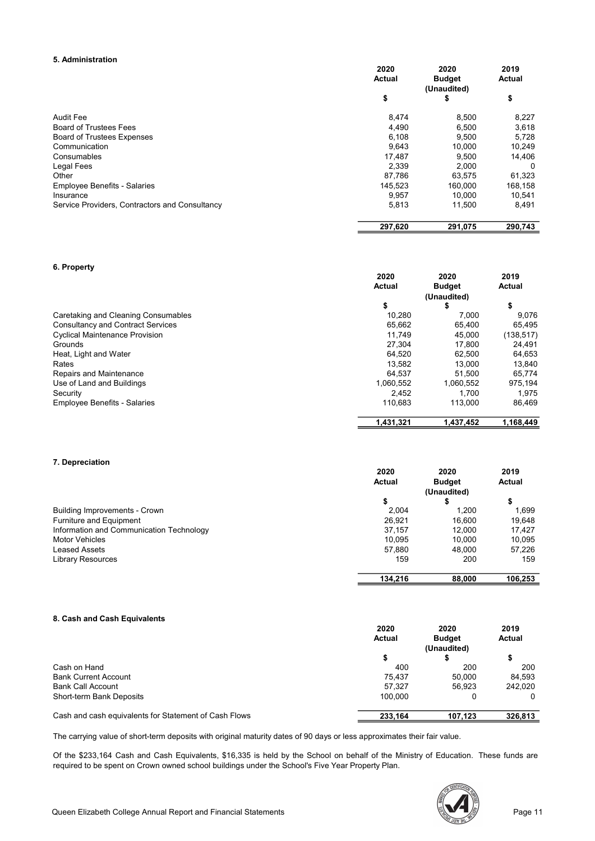#### 5. Administration

|                                                | 2020    | 2020          | 2019     |
|------------------------------------------------|---------|---------------|----------|
|                                                | Actual  | <b>Budget</b> | Actual   |
|                                                |         | (Unaudited)   |          |
|                                                | \$      | \$            | \$       |
| <b>Audit Fee</b>                               | 8,474   | 8,500         | 8,227    |
| <b>Board of Trustees Fees</b>                  | 4,490   | 6,500         | 3,618    |
| <b>Board of Trustees Expenses</b>              | 6,108   | 9,500         | 5,728    |
| Communication                                  | 9,643   | 10.000        | 10,249   |
| Consumables                                    | 17,487  | 9,500         | 14,406   |
| Legal Fees                                     | 2,339   | 2.000         | $\Omega$ |
| Other                                          | 87.786  | 63,575        | 61,323   |
| <b>Employee Benefits - Salaries</b>            | 145,523 | 160.000       | 168,158  |
| Insurance                                      | 9,957   | 10,000        | 10,541   |
| Service Providers, Contractors and Consultancy | 5,813   | 11.500        | 8,491    |
|                                                | 297,620 | 291,075       | 290,743  |

#### 6. Property

|                                          | 2020          | 2020          | 2019          |
|------------------------------------------|---------------|---------------|---------------|
|                                          | <b>Actual</b> | <b>Budget</b> | <b>Actual</b> |
|                                          |               | (Unaudited)   |               |
|                                          | \$            |               | \$            |
| Caretaking and Cleaning Consumables      | 10.280        | 7.000         | 9,076         |
| <b>Consultancy and Contract Services</b> | 65.662        | 65.400        | 65.495        |
| <b>Cyclical Maintenance Provision</b>    | 11.749        | 45.000        | (138, 517)    |
| Grounds                                  | 27.304        | 17.800        | 24,491        |
| Heat, Light and Water                    | 64.520        | 62.500        | 64,653        |
| Rates                                    | 13.582        | 13.000        | 13.840        |
| Repairs and Maintenance                  | 64.537        | 51.500        | 65.774        |
| Use of Land and Buildings                | 1,060,552     | 1,060,552     | 975,194       |
| Security                                 | 2.452         | 1.700         | 1,975         |
| <b>Employee Benefits - Salaries</b>      | 110.683       | 113.000       | 86.469        |
|                                          | 1,431,321     | 1,437,452     | 1,168,449     |

#### 7. Depreciation

|                                          | 2020    | 2020          | 2019    |
|------------------------------------------|---------|---------------|---------|
|                                          | Actual  | <b>Budget</b> | Actual  |
|                                          |         | (Unaudited)   |         |
|                                          | ъ       |               | \$      |
| <b>Building Improvements - Crown</b>     | 2.004   | 1.200         | 1.699   |
| Furniture and Equipment                  | 26.921  | 16.600        | 19.648  |
| Information and Communication Technology | 37.157  | 12.000        | 17.427  |
| <b>Motor Vehicles</b>                    | 10.095  | 10.000        | 10.095  |
| <b>Leased Assets</b>                     | 57,880  | 48.000        | 57,226  |
| <b>Library Resources</b>                 | 159     | 200           | 159     |
|                                          | 134.216 | 88,000        | 106,253 |

#### 8. Cash and Cash Equivalents

|                                                       | 2020    | 2020                         | 2019    |
|-------------------------------------------------------|---------|------------------------------|---------|
|                                                       | Actual  | <b>Budget</b><br>(Unaudited) | Actual  |
|                                                       |         |                              |         |
| Cash on Hand                                          | 400     | 200                          | 200     |
| <b>Bank Current Account</b>                           | 75.437  | 50,000                       | 84.593  |
| <b>Bank Call Account</b>                              | 57.327  | 56.923                       | 242.020 |
| Short-term Bank Deposits                              | 100.000 |                              | 0       |
| Cash and cash equivalents for Statement of Cash Flows | 233,164 | 107,123                      | 326,813 |

The carrying value of short-term deposits with original maturity dates of 90 days or less approximates their fair value.

Of the \$233,164 Cash and Cash Equivalents, \$16,335 is held by the School on behalf of the Ministry of Education. These funds are required to be spent on Crown owned school buildings under the School's Five Year Property Plan.

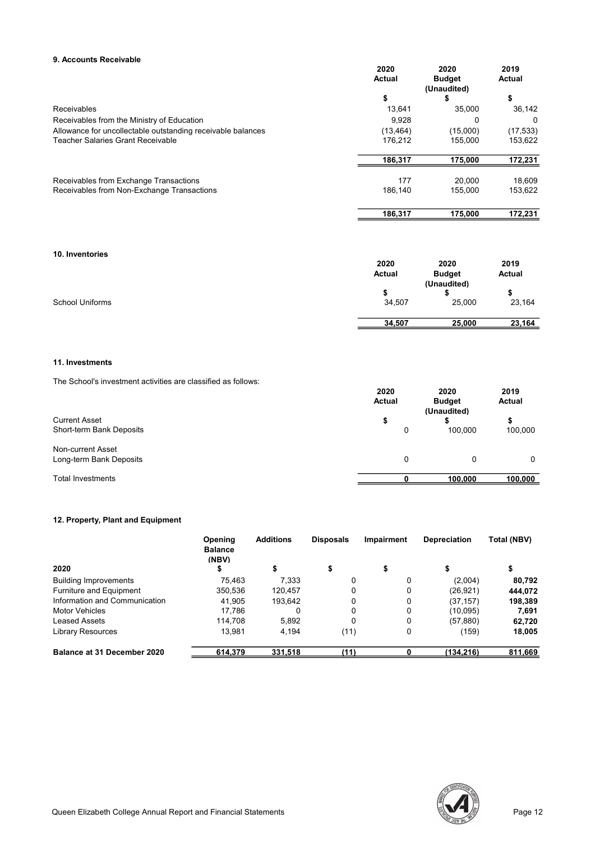#### 9. Accounts Receivable

|                                                             | 2020      | 2020          | 2019      |
|-------------------------------------------------------------|-----------|---------------|-----------|
|                                                             | Actual    | <b>Budget</b> | Actual    |
|                                                             |           | (Unaudited)   |           |
|                                                             | \$        | 5             | \$        |
| Receivables                                                 | 13.641    | 35.000        | 36,142    |
| Receivables from the Ministry of Education                  | 9,928     | 0             | 0         |
| Allowance for uncollectable outstanding receivable balances | (13, 464) | (15,000)      | (17, 533) |
| <b>Teacher Salaries Grant Receivable</b>                    | 176.212   | 155.000       | 153,622   |
|                                                             | 186,317   | 175,000       | 172,231   |
| Receivables from Exchange Transactions                      | 177       | 20,000        | 18.609    |
| Receivables from Non-Exchange Transactions                  | 186.140   | 155.000       | 153,622   |
|                                                             | 186.317   | 175,000       | 172,231   |

10. Inventories

|                 | 2020   | 2020          | 2019          |
|-----------------|--------|---------------|---------------|
|                 | Actual | <b>Budget</b> | <b>Actual</b> |
|                 |        | (Unaudited)   |               |
|                 |        |               |               |
| School Uniforms | 34,507 | 25,000        | 23,164        |
|                 | 34,507 | 25,000        | 23,164        |

#### 11. Investments

The School's investment activities are classified as follows:

|                          | 2020<br>Actual | 2020<br><b>Budget</b><br>(Unaudited) | 2019<br>Actual |
|--------------------------|----------------|--------------------------------------|----------------|
| <b>Current Asset</b>     | æ              |                                      | \$             |
| Short-term Bank Deposits | 0              | 100.000                              | 100,000        |
| Non-current Asset        |                |                                      |                |
| Long-term Bank Deposits  | 0              | 0                                    | 0              |
| <b>Total Investments</b> |                | 100.000                              | 100.000        |

#### 12. Property, Plant and Equipment

|                                | Opening<br><b>Balance</b><br>(NBV) | <b>Additions</b> | <b>Disposals</b> | <b>Impairment</b> | <b>Depreciation</b> | Total (NBV) |
|--------------------------------|------------------------------------|------------------|------------------|-------------------|---------------------|-------------|
| 2020                           |                                    |                  |                  |                   |                     |             |
| <b>Building Improvements</b>   | 75.463                             | 7.333            | 0                |                   | (2,004)             | 80,792      |
| <b>Furniture and Equipment</b> | 350,536                            | 120.457          | 0                |                   | (26, 921)           | 444.072     |
| Information and Communication  | 41.905                             | 193.642          | 0                | 0                 | (37, 157)           | 198,389     |
| <b>Motor Vehicles</b>          | 17.786                             |                  | 0                |                   | (10,095)            | 7,691       |
| Leased Assets                  | 114.708                            | 5.892            | 0                |                   | (57,880)            | 62,720      |
| <b>Library Resources</b>       | 13.981                             | 4.194            | (11)             | 0                 | (159)               | 18,005      |
| Balance at 31 December 2020    | 614,379                            | 331,518          | (11)             |                   | (134, 216)          | 811,669     |

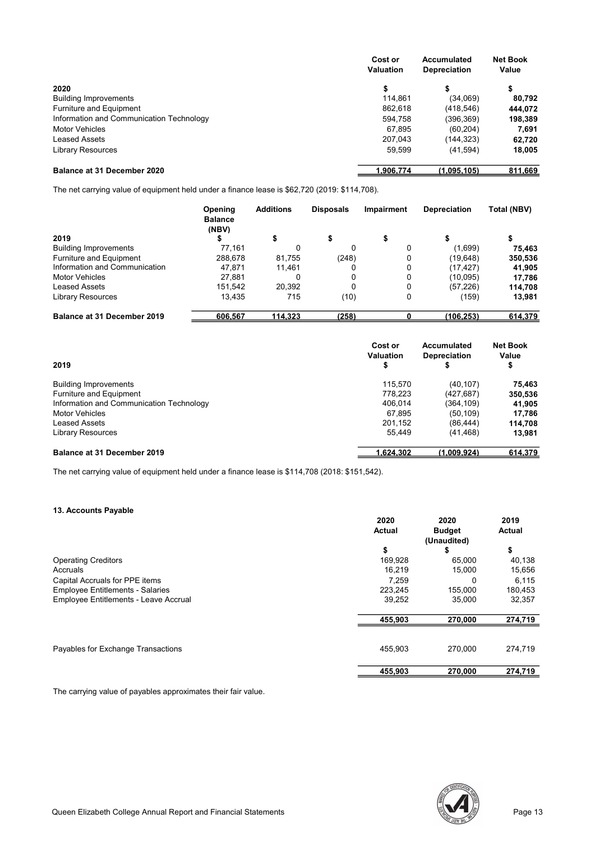|                                          | Cost or<br><b>Valuation</b> | Accumulated<br><b>Depreciation</b> | <b>Net Book</b><br>Value |
|------------------------------------------|-----------------------------|------------------------------------|--------------------------|
| 2020                                     |                             |                                    | \$                       |
| <b>Building Improvements</b>             | 114.861                     | (34,069)                           | 80.792                   |
| <b>Furniture and Equipment</b>           | 862,618                     | (418, 546)                         | 444,072                  |
| Information and Communication Technology | 594.758                     | (396,369)                          | 198,389                  |
| <b>Motor Vehicles</b>                    | 67,895                      | (60, 204)                          | 7,691                    |
| <b>Leased Assets</b>                     | 207.043                     | (144,323)                          | 62,720                   |
| <b>Library Resources</b>                 | 59,599                      | (41, 594)                          | 18,005                   |
| Balance at 31 December 2020              | 1.906.774                   | (1.095.105)                        | 811,669                  |

The net carrying value of equipment held under a finance lease is \$62,720 (2019: \$114,708).

|                                    | Opening<br><b>Balance</b><br>(NBV) | <b>Additions</b> | <b>Disposals</b> | <b>Impairment</b> | <b>Depreciation</b> | Total (NBV) |
|------------------------------------|------------------------------------|------------------|------------------|-------------------|---------------------|-------------|
| 2019                               |                                    | \$               | \$               |                   |                     |             |
| <b>Building Improvements</b>       | 77.161                             | 0                | 0                | 0                 | (1,699)             | 75,463      |
| Furniture and Equipment            | 288,678                            | 81.755           | (248)            | 0                 | (19,648)            | 350,536     |
| Information and Communication      | 47.871                             | 11.461           | 0                | 0                 | (17, 427)           | 41,905      |
| <b>Motor Vehicles</b>              | 27.881                             | 0                | 0                | 0                 | (10,095)            | 17,786      |
| Leased Assets                      | 151.542                            | 20.392           | 0                | 0                 | (57, 226)           | 114,708     |
| <b>Library Resources</b>           | 13,435                             | 715              | (10)             | 0                 | (159)               | 13,981      |
| <b>Balance at 31 December 2019</b> | 606,567                            | 114,323          | (258)            |                   | (106, 253)          | 614,379     |

| 2019                                     | Cost or<br><b>Valuation</b> | Accumulated<br><b>Depreciation</b><br>Φ | <b>Net Book</b><br>Value<br>\$ |
|------------------------------------------|-----------------------------|-----------------------------------------|--------------------------------|
| <b>Building Improvements</b>             | 115.570                     | (40.107)                                | 75.463                         |
| Furniture and Equipment                  | 778.223                     | (427, 687)                              | 350,536                        |
| Information and Communication Technology | 406.014                     | (364.109)                               | 41.905                         |
| <b>Motor Vehicles</b>                    | 67.895                      | (50.109)                                | 17.786                         |
| <b>Leased Assets</b>                     | 201.152                     | (86.444)                                | 114.708                        |
| Library Resources                        | 55.449                      | (41, 468)                               | 13.981                         |
| <b>Balance at 31 December 2019</b>       | 1.624.302                   | (1.009.924)                             | 614,379                        |

The net carrying value of equipment held under a finance lease is \$114,708 (2018: \$151,542).

#### 13. Accounts Payable

| <b>19. ACCOUTICS L'AVADIG</b>                |         |               |         |
|----------------------------------------------|---------|---------------|---------|
|                                              | 2020    | 2020          | 2019    |
|                                              | Actual  | <b>Budget</b> | Actual  |
|                                              |         | (Unaudited)   |         |
|                                              | \$      | \$            | \$      |
| <b>Operating Creditors</b>                   | 169,928 | 65,000        | 40,138  |
| Accruals                                     | 16.219  | 15.000        | 15,656  |
| Capital Accruals for PPE items               | 7.259   | 0             | 6,115   |
| <b>Employee Entitlements - Salaries</b>      | 223,245 | 155,000       | 180,453 |
| <b>Employee Entitlements - Leave Accrual</b> | 39,252  | 35,000        | 32,357  |
|                                              | 455,903 | 270,000       | 274,719 |
|                                              |         |               |         |
| Payables for Exchange Transactions           | 455.903 | 270,000       | 274,719 |
|                                              | 455.903 | 270,000       | 274,719 |

The carrying value of payables approximates their fair value.

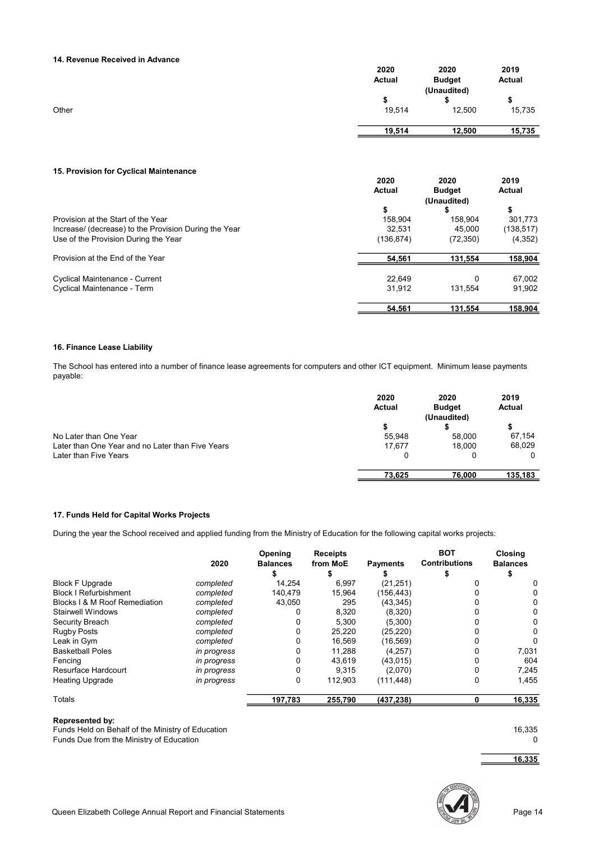#### 14. Revenue Received in Advance

|       | 2020   | 2020          | 2019   |
|-------|--------|---------------|--------|
|       | Actual | <b>Budget</b> | Actual |
|       |        | (Unaudited)   |        |
|       |        |               | S      |
| Other | 19,514 | 12,500        | 15,735 |
|       | 19,514 | 12,500        | 15,735 |

#### 15. Provision for Cyclical Maintenance

|                                                       | 2020       | 2020          | 2019       |
|-------------------------------------------------------|------------|---------------|------------|
|                                                       | Actual     | <b>Budget</b> | Actual     |
|                                                       |            | (Unaudited)   |            |
|                                                       | \$         | S             | \$         |
| Provision at the Start of the Year                    | 158.904    | 158.904       | 301.773    |
| Increase/ (decrease) to the Provision During the Year | 32.531     | 45.000        | (138, 517) |
| Use of the Provision During the Year                  | (136, 874) | (72, 350)     | (4,352)    |
| Provision at the End of the Year                      | 54.561     | 131.554       | 158,904    |
| <b>Cyclical Maintenance - Current</b>                 | 22.649     | 0             | 67.002     |
| Cyclical Maintenance - Term                           | 31.912     | 131.554       | 91.902     |
|                                                       | 54.561     | 131.554       | 158.904    |

#### 16. Finance Lease Liability

The School has entered into a number of finance lease agreements for computers and other ICT equipment. Minimum lease payments payable:

|                                                  | 2020<br>Actual | 2020<br><b>Budget</b><br>(Unaudited) | 2019<br>Actual |
|--------------------------------------------------|----------------|--------------------------------------|----------------|
|                                                  |                |                                      |                |
| No Later than One Year                           | 55.948         | 58,000                               | 67.154         |
| Later than One Year and no Later than Five Years | 17.677         | 18.000                               | 68,029         |
| Later than Five Years                            |                |                                      | $\Omega$       |
|                                                  | 73,625         | 76,000                               | 135,183        |

#### 17. Funds Held for Capital Works Projects

During the year the School received and applied funding from the Ministry of Education for the following capital works projects:

|                               | 2020        | Opening<br><b>Balances</b> | <b>Receipts</b><br>from MoE | <b>Payments</b> | <b>BOT</b><br><b>Contributions</b> | <b>Closing</b><br><b>Balances</b> |
|-------------------------------|-------------|----------------------------|-----------------------------|-----------------|------------------------------------|-----------------------------------|
| <b>Block F Upgrade</b>        | completed   | 14.254                     | 6.997                       | (21, 251)       |                                    |                                   |
| <b>Block I Refurbishment</b>  | completed   | 140.479                    | 15.964                      | (156.443)       |                                    |                                   |
| Blocks I & M Roof Remediation | completed   | 43.050                     | 295                         | (43, 345)       |                                    |                                   |
| Stairwell Windows             | completed   |                            | 8,320                       | (8,320)         |                                    |                                   |
| Security Breach               | completed   |                            | 5,300                       | (5,300)         |                                    |                                   |
| <b>Rugby Posts</b>            | completed   |                            | 25,220                      | (25, 220)       |                                    |                                   |
| Leak in Gym                   | completed   |                            | 16,569                      | (16, 569)       |                                    |                                   |
| <b>Basketball Poles</b>       | in progress |                            | 11.288                      | (4, 257)        |                                    | 7,031                             |
| Fencing                       | in progress |                            | 43,619                      | (43, 015)       |                                    | 604                               |
| Resurface Hardcourt           | in progress |                            | 9,315                       | (2,070)         |                                    | 7,245                             |
| <b>Heating Upgrade</b>        | in progress | 0                          | 112.903                     | (111.448)       | 0                                  | 1.455                             |
| Totals                        |             | 197,783                    | 255,790                     | (437, 238)      |                                    | 16,335                            |

#### Represented by:

Funds Held on Behalf of the Ministry of Education 16,335 Funds Due from the Ministry of Education 0

16,335

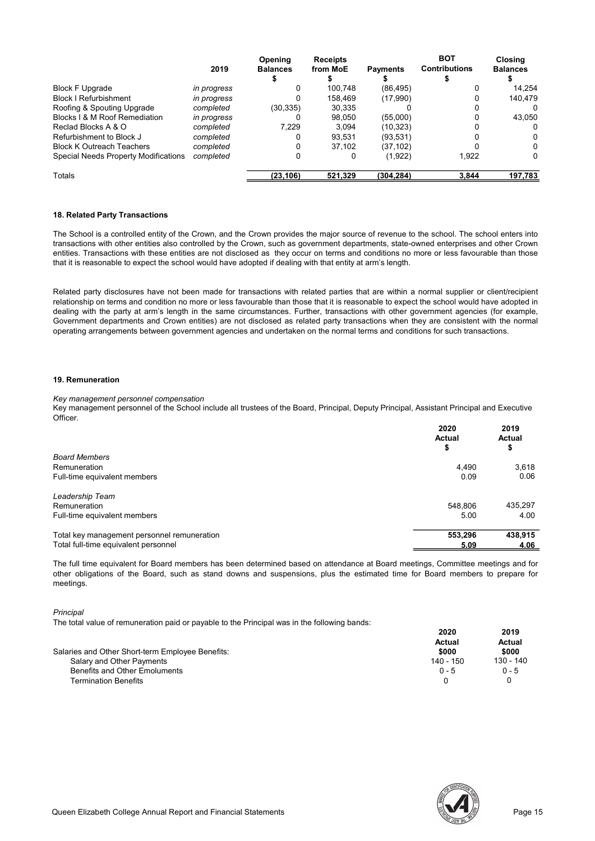|                                      |             | <b>Opening</b>  | <b>Receipts</b> |                 | <b>BOT</b>           | <b>Closing</b>  |
|--------------------------------------|-------------|-----------------|-----------------|-----------------|----------------------|-----------------|
|                                      | 2019        | <b>Balances</b> | from MoE        | <b>Payments</b> | <b>Contributions</b> | <b>Balances</b> |
|                                      |             |                 |                 |                 |                      |                 |
| <b>Block F Upgrade</b>               | in progress |                 | 100.748         | (86, 495)       |                      | 14.254          |
| <b>Block I Refurbishment</b>         | in progress |                 | 158.469         | (17,990)        |                      | 140.479         |
| Roofing & Spouting Upgrade           | completed   | (30, 335)       | 30,335          |                 |                      |                 |
| Blocks I & M Roof Remediation        | in progress |                 | 98.050          | (55,000)        |                      | 43,050          |
| Reclad Blocks A & O                  | completed   | 7.229           | 3.094           | (10,323)        |                      |                 |
| Refurbishment to Block J             | completed   |                 | 93.531          | (93,531)        |                      |                 |
| <b>Block K Outreach Teachers</b>     | completed   |                 | 37.102          | (37,102)        |                      | 0               |
| Special Needs Property Modifications | completed   |                 | 0               | (1,922)         | 1.922                | 0               |
| Totals                               |             | (23.106)        | 521.329         | (304.284)       | 3.844                | 197.783         |

#### 18. Related Party Transactions

The School is a controlled entity of the Crown, and the Crown provides the major source of revenue to the school. The school enters into transactions with other entities also controlled by the Crown, such as government departments, state-owned enterprises and other Crown entities. Transactions with these entities are not disclosed as they occur on terms and conditions no more or less favourable than those that it is reasonable to expect the school would have adopted if dealing with that entity at arm's length.

Related party disclosures have not been made for transactions with related parties that are within a normal supplier or client/recipient relationship on terms and condition no more or less favourable than those that it is reasonable to expect the school would have adopted in dealing with the party at arm's length in the same circumstances. Further, transactions with other government agencies (for example, Government departments and Crown entities) are not disclosed as related party transactions when they are consistent with the normal operating arrangements between government agencies and undertaken on the normal terms and conditions for such transactions.

#### 19. Remuneration

#### Key management personnel compensation

Key management personnel of the School include all trustees of the Board, Principal, Deputy Principal, Assistant Principal and Executive Officer.

|                                             | 2020<br><b>Actual</b><br>\$ | 2019<br>Actual<br>\$ |
|---------------------------------------------|-----------------------------|----------------------|
| <b>Board Members</b>                        |                             |                      |
| Remuneration                                | 4.490                       | 3,618                |
| Full-time equivalent members                | 0.09                        | 0.06                 |
| Leadership Team                             |                             |                      |
| Remuneration                                | 548.806                     | 435,297              |
| Full-time equivalent members                | 5.00                        | 4.00                 |
| Total key management personnel remuneration | 553,296                     | 438,915              |
| Total full-time equivalent personnel        | 5.09                        | 4.06                 |

The full time equivalent for Board members has been determined based on attendance at Board meetings, Committee meetings and for other obligations of the Board, such as stand downs and suspensions, plus the estimated time for Board members to prepare for meetings.

**Principal** 

The total value of remuneration paid or payable to the Principal was in the following bands:

|                                                  | 2020      | 2019      |
|--------------------------------------------------|-----------|-----------|
|                                                  | Actual    | Actual    |
| Salaries and Other Short-term Employee Benefits: | \$000     | \$000     |
| Salary and Other Payments                        | 140 - 150 | 130 - 140 |
| Benefits and Other Emoluments                    | $0 - 5$   | $0 - 5$   |
| <b>Termination Benefits</b>                      |           |           |

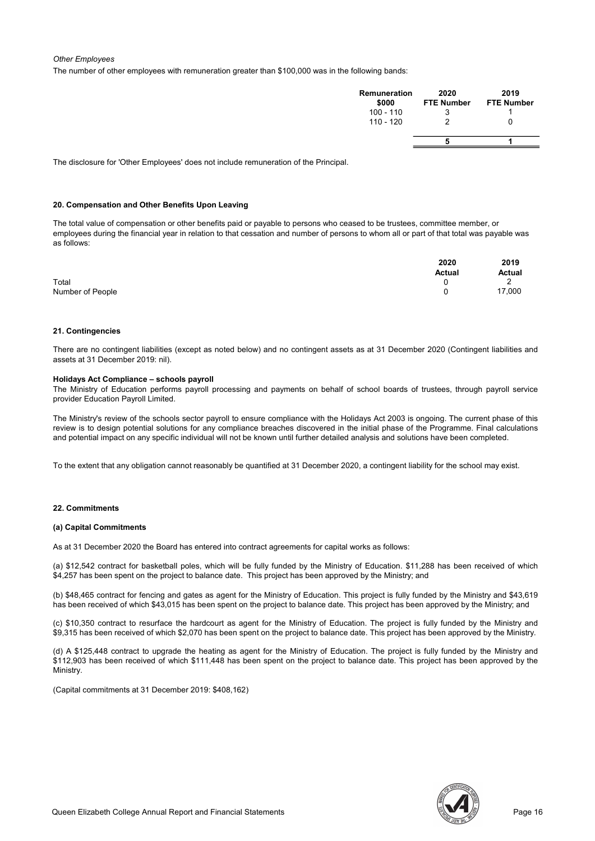#### Other Employees

The number of other employees with remuneration greater than \$100,000 was in the following bands:

| <b>Remuneration</b><br>\$000 | 2020<br><b>FTE Number</b> | 2019<br><b>FTE Number</b> |
|------------------------------|---------------------------|---------------------------|
| $100 - 110$                  |                           |                           |
| $110 - 120$                  |                           |                           |
|                              |                           |                           |

The disclosure for 'Other Employees' does not include remuneration of the Principal.

#### 20. Compensation and Other Benefits Upon Leaving

The total value of compensation or other benefits paid or payable to persons who ceased to be trustees, committee member, or employees during the financial year in relation to that cessation and number of persons to whom all or part of that total was payable was as follows:

|                  | 2020   | 2019   |
|------------------|--------|--------|
|                  | Actual | Actual |
| Total            |        | -      |
| Number of People |        | 17,000 |

#### 21. Contingencies

There are no contingent liabilities (except as noted below) and no contingent assets as at 31 December 2020 (Contingent liabilities and assets at 31 December 2019: nil).

#### Holidays Act Compliance – schools payroll

The Ministry of Education performs payroll processing and payments on behalf of school boards of trustees, through payroll service provider Education Payroll Limited.

The Ministry's review of the schools sector payroll to ensure compliance with the Holidays Act 2003 is ongoing. The current phase of this review is to design potential solutions for any compliance breaches discovered in the initial phase of the Programme. Final calculations and potential impact on any specific individual will not be known until further detailed analysis and solutions have been completed.

To the extent that any obligation cannot reasonably be quantified at 31 December 2020, a contingent liability for the school may exist.

#### 22. Commitments

#### (a) Capital Commitments

As at 31 December 2020 the Board has entered into contract agreements for capital works as follows:

(a) \$12,542 contract for basketball poles, which will be fully funded by the Ministry of Education. \$11,288 has been received of which \$4,257 has been spent on the project to balance date. This project has been approved by the Ministry; and

(b) \$48,465 contract for fencing and gates as agent for the Ministry of Education. This project is fully funded by the Ministry and \$43,619 has been received of which \$43,015 has been spent on the project to balance date. This project has been approved by the Ministry; and

(c) \$10,350 contract to resurface the hardcourt as agent for the Ministry of Education. The project is fully funded by the Ministry and \$9,315 has been received of which \$2,070 has been spent on the project to balance date. This project has been approved by the Ministry.

(d) A \$125,448 contract to upgrade the heating as agent for the Ministry of Education. The project is fully funded by the Ministry and \$112,903 has been received of which \$111,448 has been spent on the project to balance date. This project has been approved by the Ministry.

(Capital commitments at 31 December 2019: \$408,162)

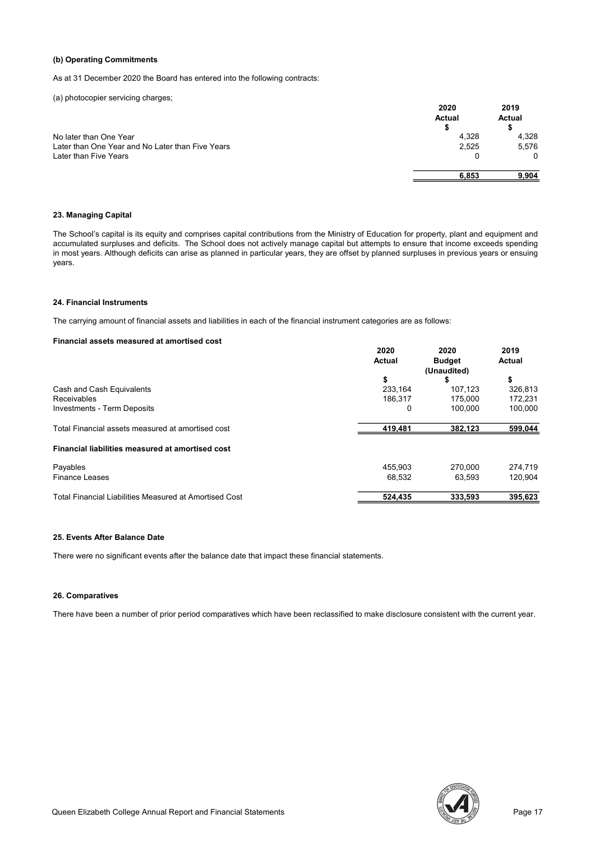#### (b) Operating Commitments

As at 31 December 2020 the Board has entered into the following contracts:

(a) photocopier servicing charges;

|                                                  | 2020<br><b>Actual</b><br>\$ | 2019<br>Actual |
|--------------------------------------------------|-----------------------------|----------------|
| No later than One Year                           | 4,328                       | 4,328          |
| Later than One Year and No Later than Five Years | 2,525                       | 5,576          |
| Later than Five Years                            |                             | 0              |
|                                                  | 6,853                       | 9.904          |

#### 23. Managing Capital

The School's capital is its equity and comprises capital contributions from the Ministry of Education for property, plant and equipment and accumulated surpluses and deficits. The School does not actively manage capital but attempts to ensure that income exceeds spending in most years. Although deficits can arise as planned in particular years, they are offset by planned surpluses in previous years or ensuing years.

#### 24. Financial Instruments

The carrying amount of financial assets and liabilities in each of the financial instrument categories are as follows:

#### Financial assets measured at amortised cost

|                                                        | 2020    | 2020          | 2019    |  |
|--------------------------------------------------------|---------|---------------|---------|--|
|                                                        | Actual  | <b>Budget</b> | Actual  |  |
|                                                        |         | (Unaudited)   |         |  |
|                                                        | \$      | Ъ             | \$      |  |
| Cash and Cash Equivalents                              | 233,164 | 107.123       | 326,813 |  |
| <b>Receivables</b>                                     | 186.317 | 175.000       | 172,231 |  |
| <b>Investments - Term Deposits</b>                     | 0       | 100.000       | 100.000 |  |
| Total Financial assets measured at amortised cost      | 419,481 | 382,123       | 599,044 |  |
| Financial liabilities measured at amortised cost       |         |               |         |  |
| Payables                                               | 455.903 | 270,000       | 274,719 |  |
| <b>Finance Leases</b>                                  | 68,532  | 63.593        | 120.904 |  |
| Total Financial Liabilities Measured at Amortised Cost | 524,435 | 333,593       | 395,623 |  |

#### 25. Events After Balance Date

There were no significant events after the balance date that impact these financial statements.

#### 26. Comparatives

There have been a number of prior period comparatives which have been reclassified to make disclosure consistent with the current year.

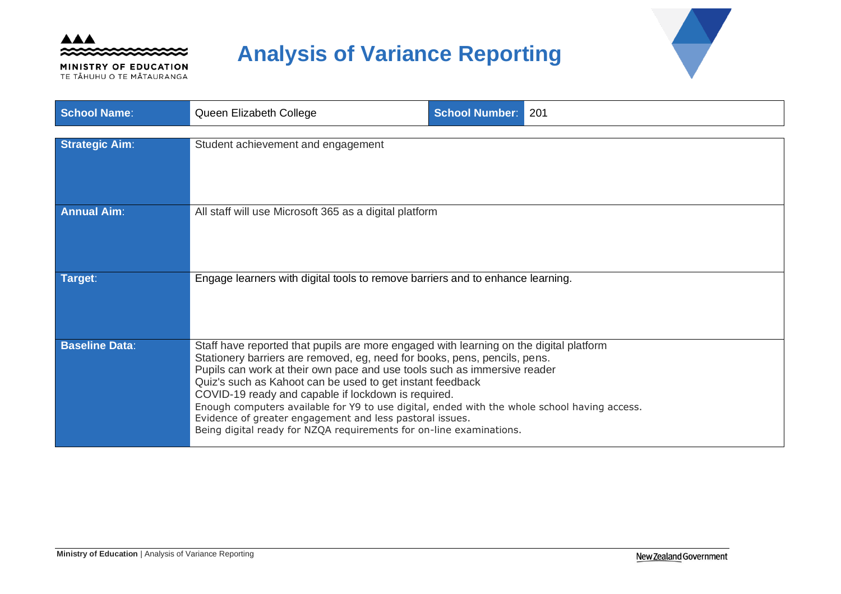

MINISTRY OF EDUCATION TE TĂHUHU O TE MĂTAURANGA

# **Analysis of Variance Reporting**



| <b>School Name:</b>   | Queen Elizabeth College                                                                                                                                                                                                                                                                                                                                                                                                                                                                                                                                                                                | <b>School Number:</b> | 201 |
|-----------------------|--------------------------------------------------------------------------------------------------------------------------------------------------------------------------------------------------------------------------------------------------------------------------------------------------------------------------------------------------------------------------------------------------------------------------------------------------------------------------------------------------------------------------------------------------------------------------------------------------------|-----------------------|-----|
| <b>Strategic Aim:</b> | Student achievement and engagement                                                                                                                                                                                                                                                                                                                                                                                                                                                                                                                                                                     |                       |     |
| <b>Annual Aim:</b>    | All staff will use Microsoft 365 as a digital platform                                                                                                                                                                                                                                                                                                                                                                                                                                                                                                                                                 |                       |     |
| Target:               | Engage learners with digital tools to remove barriers and to enhance learning.                                                                                                                                                                                                                                                                                                                                                                                                                                                                                                                         |                       |     |
| <b>Baseline Data:</b> | Staff have reported that pupils are more engaged with learning on the digital platform<br>Stationery barriers are removed, eg, need for books, pens, pencils, pens.<br>Pupils can work at their own pace and use tools such as immersive reader<br>Quiz's such as Kahoot can be used to get instant feedback<br>COVID-19 ready and capable if lockdown is required.<br>Enough computers available for Y9 to use digital, ended with the whole school having access.<br>Evidence of greater engagement and less pastoral issues.<br>Being digital ready for NZQA requirements for on-line examinations. |                       |     |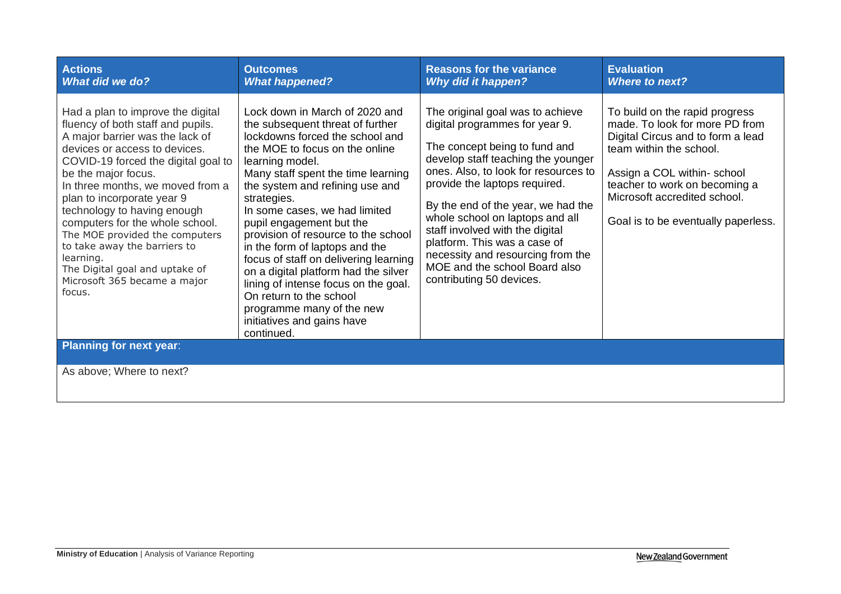| <b>Actions</b><br><b>What did we do?</b>                                                                                                                                                                                                                                                                                                                                                                                                                                                                | <b>Outcomes</b><br><b>What happened?</b>                                                                                                                                                                                                                                                                                                                                                                                                                                                                                                                                                                              | <b>Reasons for the variance</b><br><b>Why did it happen?</b>                                                                                                                                                                                                                                                                                                                                                                                                     | <b>Evaluation</b><br><b>Where to next?</b>                                                                                                                                                                                                                             |
|---------------------------------------------------------------------------------------------------------------------------------------------------------------------------------------------------------------------------------------------------------------------------------------------------------------------------------------------------------------------------------------------------------------------------------------------------------------------------------------------------------|-----------------------------------------------------------------------------------------------------------------------------------------------------------------------------------------------------------------------------------------------------------------------------------------------------------------------------------------------------------------------------------------------------------------------------------------------------------------------------------------------------------------------------------------------------------------------------------------------------------------------|------------------------------------------------------------------------------------------------------------------------------------------------------------------------------------------------------------------------------------------------------------------------------------------------------------------------------------------------------------------------------------------------------------------------------------------------------------------|------------------------------------------------------------------------------------------------------------------------------------------------------------------------------------------------------------------------------------------------------------------------|
| Had a plan to improve the digital<br>fluency of both staff and pupils.<br>A major barrier was the lack of<br>devices or access to devices.<br>COVID-19 forced the digital goal to<br>be the major focus.<br>In three months, we moved from a<br>plan to incorporate year 9<br>technology to having enough<br>computers for the whole school.<br>The MOE provided the computers<br>to take away the barriers to<br>learning.<br>The Digital goal and uptake of<br>Microsoft 365 became a major<br>focus. | Lock down in March of 2020 and<br>the subsequent threat of further<br>lockdowns forced the school and<br>the MOE to focus on the online<br>learning model.<br>Many staff spent the time learning<br>the system and refining use and<br>strategies.<br>In some cases, we had limited<br>pupil engagement but the<br>provision of resource to the school<br>in the form of laptops and the<br>focus of staff on delivering learning<br>on a digital platform had the silver<br>lining of intense focus on the goal.<br>On return to the school<br>programme many of the new<br>initiatives and gains have<br>continued. | The original goal was to achieve<br>digital programmes for year 9.<br>The concept being to fund and<br>develop staff teaching the younger<br>ones. Also, to look for resources to<br>provide the laptops required.<br>By the end of the year, we had the<br>whole school on laptops and all<br>staff involved with the digital<br>platform. This was a case of<br>necessity and resourcing from the<br>MOE and the school Board also<br>contributing 50 devices. | To build on the rapid progress<br>made. To look for more PD from<br>Digital Circus and to form a lead<br>team within the school.<br>Assign a COL within-school<br>teacher to work on becoming a<br>Microsoft accredited school.<br>Goal is to be eventually paperless. |
| <b>Planning for next year:</b>                                                                                                                                                                                                                                                                                                                                                                                                                                                                          |                                                                                                                                                                                                                                                                                                                                                                                                                                                                                                                                                                                                                       |                                                                                                                                                                                                                                                                                                                                                                                                                                                                  |                                                                                                                                                                                                                                                                        |
| As above; Where to next?                                                                                                                                                                                                                                                                                                                                                                                                                                                                                |                                                                                                                                                                                                                                                                                                                                                                                                                                                                                                                                                                                                                       |                                                                                                                                                                                                                                                                                                                                                                                                                                                                  |                                                                                                                                                                                                                                                                        |